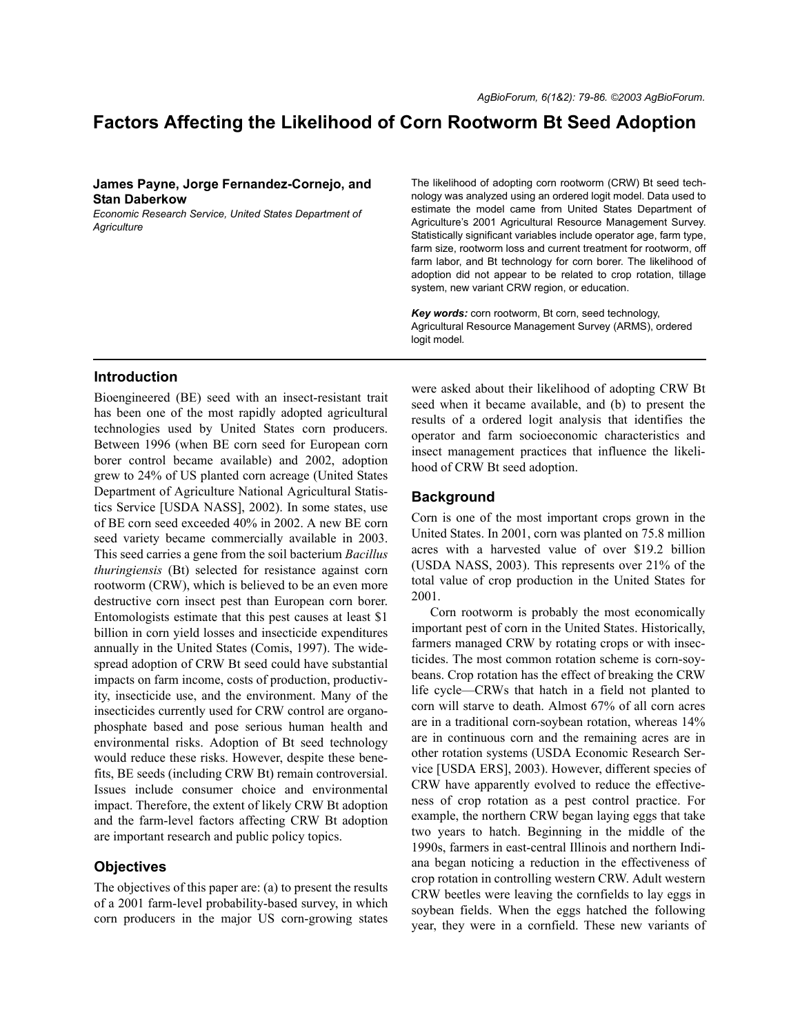# **Factors Affecting the Likelihood of Corn Rootworm Bt Seed Adoption**

# **James Payne, Jorge Fernandez-Cornejo, and Stan Daberkow**

*Economic Research Service, United States Department of Agriculture*

#### The likelihood of adopting corn rootworm (CRW) Bt seed technology was analyzed using an ordered logit model. Data used to estimate the model came from United States Department of Agriculture's 2001 Agricultural Resource Management Survey. Statistically significant variables include operator age, farm type, farm size, rootworm loss and current treatment for rootworm, off farm labor, and Bt technology for corn borer. The likelihood of adoption did not appear to be related to crop rotation, tillage system, new variant CRW region, or education.

*Key words:* corn rootworm, Bt corn, seed technology, Agricultural Resource Management Survey (ARMS), ordered logit model*.*

# **Introduction**

Bioengineered (BE) seed with an insect-resistant trait has been one of the most rapidly adopted agricultural technologies used by United States corn producers. Between 1996 (when BE corn seed for European corn borer control became available) and 2002, adoption grew to 24% of US planted corn acreage (United States Department of Agriculture National Agricultural Statistics Service [USDA NASS], 2002). In some states, use of BE corn seed exceeded 40% in 2002. A new BE corn seed variety became commercially available in 2003. This seed carries a gene from the soil bacterium *Bacillus thuringiensis* (Bt) selected for resistance against corn rootworm (CRW), which is believed to be an even more destructive corn insect pest than European corn borer. Entomologists estimate that this pest causes at least \$1 billion in corn yield losses and insecticide expenditures annually in the United States (Comis, 1997). The widespread adoption of CRW Bt seed could have substantial impacts on farm income, costs of production, productivity, insecticide use, and the environment. Many of the insecticides currently used for CRW control are organophosphate based and pose serious human health and environmental risks. Adoption of Bt seed technology would reduce these risks. However, despite these benefits, BE seeds (including CRW Bt) remain controversial. Issues include consumer choice and environmental impact. Therefore, the extent of likely CRW Bt adoption and the farm-level factors affecting CRW Bt adoption are important research and public policy topics.

# **Objectives**

The objectives of this paper are: (a) to present the results of a 2001 farm-level probability-based survey, in which corn producers in the major US corn-growing states were asked about their likelihood of adopting CRW Bt seed when it became available, and (b) to present the results of a ordered logit analysis that identifies the operator and farm socioeconomic characteristics and insect management practices that influence the likelihood of CRW Bt seed adoption.

# **Background**

Corn is one of the most important crops grown in the United States. In 2001, corn was planted on 75.8 million acres with a harvested value of over \$19.2 billion (USDA NASS, 2003). This represents over 21% of the total value of crop production in the United States for 2001.

Corn rootworm is probably the most economically important pest of corn in the United States. Historically, farmers managed CRW by rotating crops or with insecticides. The most common rotation scheme is corn-soybeans. Crop rotation has the effect of breaking the CRW life cycle—CRWs that hatch in a field not planted to corn will starve to death. Almost 67% of all corn acres are in a traditional corn-soybean rotation, whereas 14% are in continuous corn and the remaining acres are in other rotation systems (USDA Economic Research Service [USDA ERS], 2003). However, different species of CRW have apparently evolved to reduce the effectiveness of crop rotation as a pest control practice. For example, the northern CRW began laying eggs that take two years to hatch. Beginning in the middle of the 1990s, farmers in east-central Illinois and northern Indiana began noticing a reduction in the effectiveness of crop rotation in controlling western CRW. Adult western CRW beetles were leaving the cornfields to lay eggs in soybean fields. When the eggs hatched the following year, they were in a cornfield. These new variants of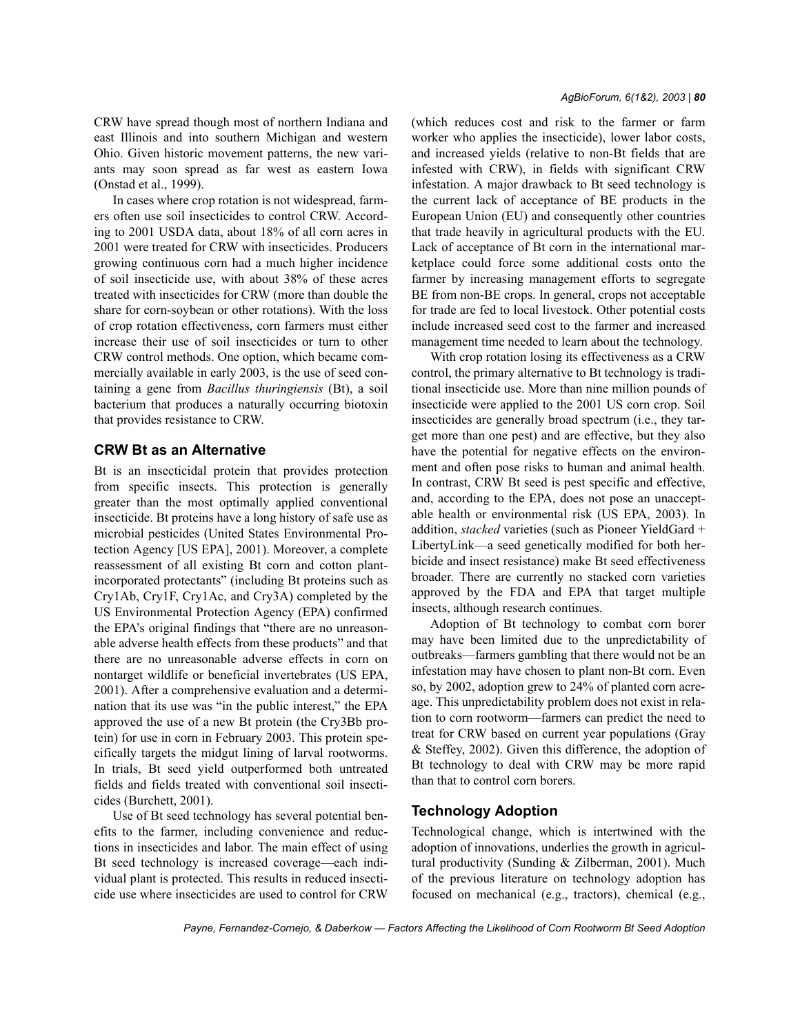CRW have spread though most of northern Indiana and east Illinois and into southern Michigan and western Ohio. Given historic movement patterns, the new variants may soon spread as far west as eastern Iowa (Onstad et al., 1999).

In cases where crop rotation is not widespread, farmers often use soil insecticides to control CRW. According to 2001 USDA data, about 18% of all corn acres in 2001 were treated for CRW with insecticides. Producers growing continuous corn had a much higher incidence of soil insecticide use, with about 38% of these acres treated with insecticides for CRW (more than double the share for corn-soybean or other rotations). With the loss of crop rotation effectiveness, corn farmers must either increase their use of soil insecticides or turn to other CRW control methods. One option, which became commercially available in early 2003, is the use of seed containing a gene from *Bacillus thuringiensis* (Bt), a soil bacterium that produces a naturally occurring biotoxin that provides resistance to CRW.

### **CRW Bt as an Alternative**

Bt is an insecticidal protein that provides protection from specific insects. This protection is generally greater than the most optimally applied conventional insecticide. Bt proteins have a long history of safe use as microbial pesticides (United States Environmental Protection Agency [US EPA], 2001). Moreover, a complete reassessment of all existing Bt corn and cotton plantincorporated protectants" (including Bt proteins such as Cry1Ab, Cry1F, Cry1Ac, and Cry3A) completed by the US Environmental Protection Agency (EPA) confirmed the EPA's original findings that "there are no unreasonable adverse health effects from these products" and that there are no unreasonable adverse effects in corn on nontarget wildlife or beneficial invertebrates (US EPA, 2001). After a comprehensive evaluation and a determination that its use was "in the public interest," the EPA approved the use of a new Bt protein (the Cry3Bb protein) for use in corn in February 2003. This protein specifically targets the midgut lining of larval rootworms. In trials, Bt seed yield outperformed both untreated fields and fields treated with conventional soil insecticides (Burchett, 2001).

Use of Bt seed technology has several potential benefits to the farmer, including convenience and reductions in insecticides and labor. The main effect of using Bt seed technology is increased coverage—each individual plant is protected. This results in reduced insecticide use where insecticides are used to control for CRW (which reduces cost and risk to the farmer or farm worker who applies the insecticide), lower labor costs, and increased yields (relative to non-Bt fields that are infested with CRW), in fields with significant CRW infestation. A major drawback to Bt seed technology is the current lack of acceptance of BE products in the European Union (EU) and consequently other countries that trade heavily in agricultural products with the EU. Lack of acceptance of Bt corn in the international marketplace could force some additional costs onto the farmer by increasing management efforts to segregate BE from non-BE crops. In general, crops not acceptable for trade are fed to local livestock. Other potential costs include increased seed cost to the farmer and increased management time needed to learn about the technology.

With crop rotation losing its effectiveness as a CRW control, the primary alternative to Bt technology is traditional insecticide use. More than nine million pounds of insecticide were applied to the 2001 US corn crop. Soil insecticides are generally broad spectrum (i.e., they target more than one pest) and are effective, but they also have the potential for negative effects on the environment and often pose risks to human and animal health. In contrast, CRW Bt seed is pest specific and effective, and, according to the EPA, does not pose an unacceptable health or environmental risk (US EPA, 2003). In addition, *stacked* varieties (such as Pioneer YieldGard + LibertyLink—a seed genetically modified for both herbicide and insect resistance) make Bt seed effectiveness broader. There are currently no stacked corn varieties approved by the FDA and EPA that target multiple insects, although research continues.

Adoption of Bt technology to combat corn borer may have been limited due to the unpredictability of outbreaks—farmers gambling that there would not be an infestation may have chosen to plant non-Bt corn. Even so, by 2002, adoption grew to 24% of planted corn acreage. This unpredictability problem does not exist in relation to corn rootworm—farmers can predict the need to treat for CRW based on current year populations (Gray & Steffey, 2002). Given this difference, the adoption of Bt technology to deal with CRW may be more rapid than that to control corn borers.

### **Technology Adoption**

Technological change, which is intertwined with the adoption of innovations, underlies the growth in agricultural productivity (Sunding & Zilberman, 2001). Much of the previous literature on technology adoption has focused on mechanical (e.g., tractors), chemical (e.g.,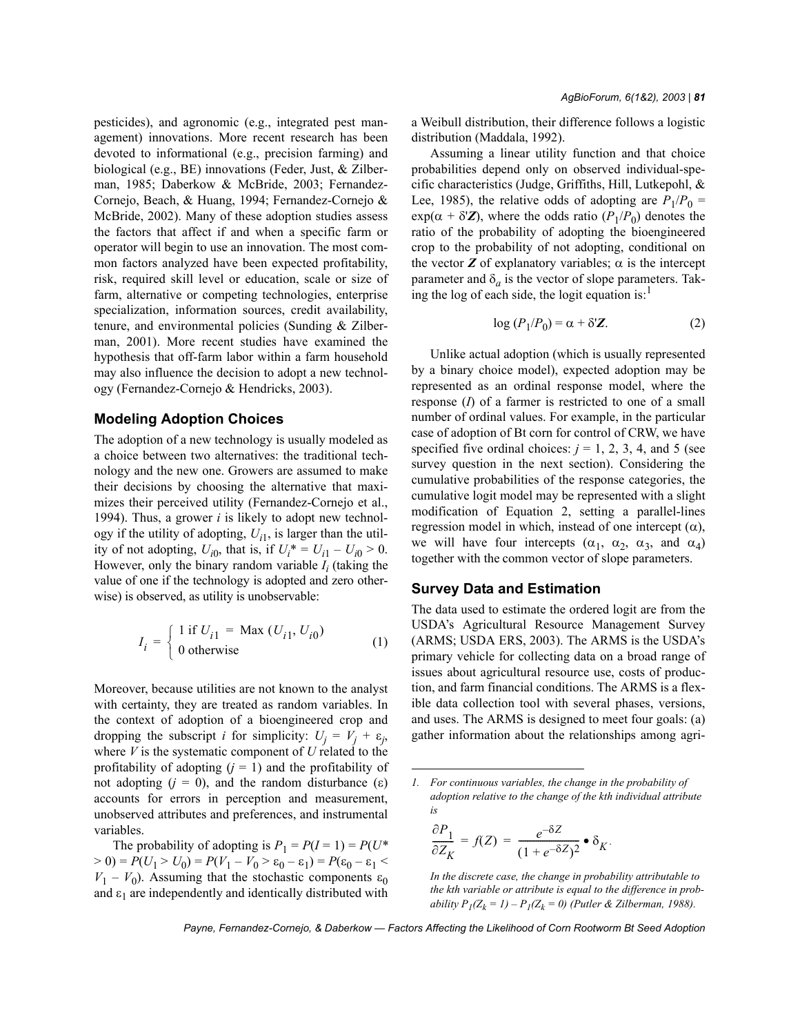pesticides), and agronomic (e.g., integrated pest management) innovations. More recent research has been devoted to informational (e.g., precision farming) and biological (e.g., BE) innovations (Feder, Just, & Zilberman, 1985; Daberkow & McBride, 2003; Fernandez-Cornejo, Beach, & Huang, 1994; Fernandez-Cornejo & McBride, 2002). Many of these adoption studies assess the factors that affect if and when a specific farm or operator will begin to use an innovation. The most common factors analyzed have been expected profitability, risk, required skill level or education, scale or size of farm, alternative or competing technologies, enterprise specialization, information sources, credit availability, tenure, and environmental policies (Sunding & Zilberman, 2001). More recent studies have examined the hypothesis that off-farm labor within a farm household may also influence the decision to adopt a new technology (Fernandez-Cornejo & Hendricks, 2003).

#### **Modeling Adoption Choices**

The adoption of a new technology is usually modeled as a choice between two alternatives: the traditional technology and the new one. Growers are assumed to make their decisions by choosing the alternative that maximizes their perceived utility (Fernandez-Cornejo et al., 1994). Thus, a grower *i* is likely to adopt new technology if the utility of adopting,  $U_{i1}$ , is larger than the utility of not adopting,  $U_{i0}$ , that is, if  $U_i^* = U_{i1} - U_{i0} > 0$ . However, only the binary random variable  $I_i$  (taking the value of one if the technology is adopted and zero otherwise) is observed, as utility is unobservable:

$$
I_i = \begin{cases} 1 \text{ if } U_{i1} = \text{Max } (U_{i1}, U_{i0}) \\ 0 \text{ otherwise} \end{cases}
$$
 (1)

Moreover, because utilities are not known to the analyst with certainty, they are treated as random variables. In the context of adoption of a bioengineered crop and dropping the subscript *i* for simplicity:  $U_j = V_j + \varepsilon_j$ , where *V* is the systematic component of *U* related to the profitability of adopting  $(j = 1)$  and the profitability of not adopting  $(j = 0)$ , and the random disturbance (ε) accounts for errors in perception and measurement, unobserved attributes and preferences, and instrumental variables.

The probability of adopting is  $P_1 = P(I = 1) = P(U^*$  $>$  0) =  $P(U_1 > U_0) = P(V_1 - V_0 > \varepsilon_0 - \varepsilon_1) = P(\varepsilon_0 - \varepsilon_1 <$  $V_1 - V_0$ ). Assuming that the stochastic components  $\varepsilon_0$ and  $\varepsilon_1$  are independently and identically distributed with a Weibull distribution, their difference follows a logistic distribution (Maddala, 1992).

Assuming a linear utility function and that choice probabilities depend only on observed individual-specific characteristics (Judge, Griffiths, Hill, Lutkepohl, & Lee, 1985), the relative odds of adopting are  $P_1/P_0$  =  $\exp(\alpha + \delta'Z)$ , where the odds ratio  $(P_1/P_0)$  denotes the ratio of the probability of adopting the bioengineered crop to the probability of not adopting, conditional on the vector  $Z$  of explanatory variables;  $\alpha$  is the intercept parameter and  $\delta_a$  is the vector of slope parameters. Taking the log of each side, the logit equation is: $<sup>1</sup>$ </sup>

$$
\log (P_1/P_0) = \alpha + \delta Z. \tag{2}
$$

Unlike actual adoption (which is usually represented by a binary choice model), expected adoption may be represented as an ordinal response model, where the response (*I*) of a farmer is restricted to one of a small number of ordinal values. For example, in the particular case of adoption of Bt corn for control of CRW, we have specified five ordinal choices:  $j = 1, 2, 3, 4$ , and 5 (see survey question in the next section). Considering the cumulative probabilities of the response categories, the cumulative logit model may be represented with a slight modification of Equation 2, setting a parallel-lines regression model in which, instead of one intercept (α), we will have four intercepts  $(\alpha_1, \alpha_2, \alpha_3, \alpha_4)$ together with the common vector of slope parameters.

### **Survey Data and Estimation**

The data used to estimate the ordered logit are from the USDAís Agricultural Resource Management Survey (ARMS; USDA ERS, 2003). The ARMS is the USDAís primary vehicle for collecting data on a broad range of issues about agricultural resource use, costs of production, and farm financial conditions. The ARMS is a flexible data collection tool with several phases, versions, and uses. The ARMS is designed to meet four goals: (a) gather information about the relationships among agri-

$$
\frac{\partial P_1}{\partial Z_K} = f(Z) = \frac{e^{-\delta Z}}{(1 + e^{-\delta Z})^2} \bullet \delta_K.
$$

*In the discrete case, the change in probability attributable to the kth variable or attribute is equal to the difference in probability*  $P_I(Z_k = I) - P_I(Z_k = 0)$  *(Putler & Zilberman, 1988).* 

*<sup>1.</sup> For continuous variables, the change in the probability of adoption relative to the change of the kth individual attribute is*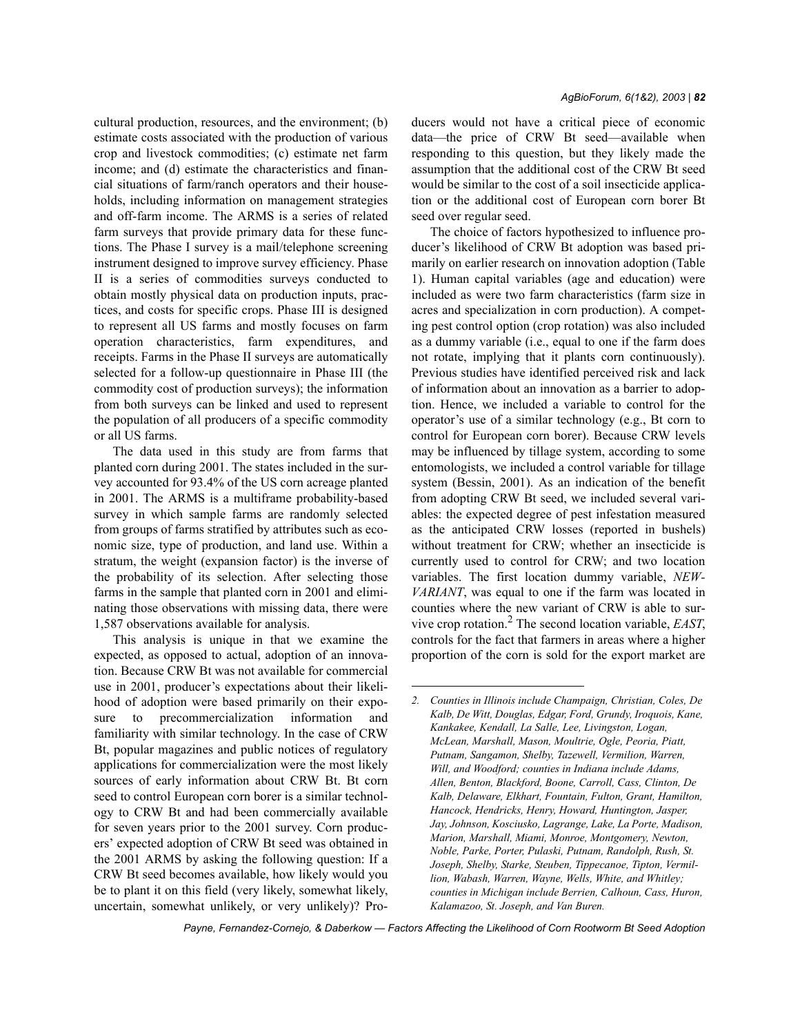cultural production, resources, and the environment; (b) estimate costs associated with the production of various crop and livestock commodities; (c) estimate net farm income; and (d) estimate the characteristics and financial situations of farm/ranch operators and their households, including information on management strategies and off-farm income. The ARMS is a series of related farm surveys that provide primary data for these functions. The Phase I survey is a mail/telephone screening instrument designed to improve survey efficiency. Phase II is a series of commodities surveys conducted to obtain mostly physical data on production inputs, practices, and costs for specific crops. Phase III is designed to represent all US farms and mostly focuses on farm operation characteristics, farm expenditures, and receipts. Farms in the Phase II surveys are automatically selected for a follow-up questionnaire in Phase III (the commodity cost of production surveys); the information from both surveys can be linked and used to represent the population of all producers of a specific commodity or all US farms.

The data used in this study are from farms that planted corn during 2001. The states included in the survey accounted for 93.4% of the US corn acreage planted in 2001. The ARMS is a multiframe probability-based survey in which sample farms are randomly selected from groups of farms stratified by attributes such as economic size, type of production, and land use. Within a stratum, the weight (expansion factor) is the inverse of the probability of its selection. After selecting those farms in the sample that planted corn in 2001 and eliminating those observations with missing data, there were 1,587 observations available for analysis.

This analysis is unique in that we examine the expected, as opposed to actual, adoption of an innovation. Because CRW Bt was not available for commercial use in 2001, producer's expectations about their likelihood of adoption were based primarily on their exposure to precommercialization information and familiarity with similar technology. In the case of CRW Bt, popular magazines and public notices of regulatory applications for commercialization were the most likely sources of early information about CRW Bt. Bt corn seed to control European corn borer is a similar technology to CRW Bt and had been commercially available for seven years prior to the 2001 survey. Corn producers' expected adoption of CRW Bt seed was obtained in the 2001 ARMS by asking the following question: If a CRW Bt seed becomes available, how likely would you be to plant it on this field (very likely, somewhat likely, uncertain, somewhat unlikely, or very unlikely)? Producers would not have a critical piece of economic data—the price of CRW Bt seed—available when responding to this question, but they likely made the assumption that the additional cost of the CRW Bt seed would be similar to the cost of a soil insecticide application or the additional cost of European corn borer Bt seed over regular seed.

The choice of factors hypothesized to influence producer's likelihood of CRW Bt adoption was based primarily on earlier research on innovation adoption (Table 1). Human capital variables (age and education) were included as were two farm characteristics (farm size in acres and specialization in corn production). A competing pest control option (crop rotation) was also included as a dummy variable (i.e., equal to one if the farm does not rotate, implying that it plants corn continuously). Previous studies have identified perceived risk and lack of information about an innovation as a barrier to adoption. Hence, we included a variable to control for the operator's use of a similar technology (e.g., Bt corn to control for European corn borer). Because CRW levels may be influenced by tillage system, according to some entomologists, we included a control variable for tillage system (Bessin, 2001). As an indication of the benefit from adopting CRW Bt seed, we included several variables: the expected degree of pest infestation measured as the anticipated CRW losses (reported in bushels) without treatment for CRW; whether an insecticide is currently used to control for CRW; and two location variables. The first location dummy variable, *NEW-VARIANT*, was equal to one if the farm was located in counties where the new variant of CRW is able to survive crop rotation.2 The second location variable, *EAST*, controls for the fact that farmers in areas where a higher proportion of the corn is sold for the export market are

*<sup>2.</sup> Counties in Illinois include Champaign, Christian, Coles, De Kalb, De Witt, Douglas, Edgar, Ford, Grundy, Iroquois, Kane, Kankakee, Kendall, La Salle, Lee, Livingston, Logan, McLean, Marshall, Mason, Moultrie, Ogle, Peoria, Piatt, Putnam, Sangamon, Shelby, Tazewell, Vermilion, Warren, Will, and Woodford; counties in Indiana include Adams, Allen, Benton, Blackford, Boone, Carroll, Cass, Clinton, De Kalb, Delaware, Elkhart, Fountain, Fulton, Grant, Hamilton, Hancock, Hendricks, Henry, Howard, Huntington, Jasper, Jay, Johnson, Kosciusko, Lagrange, Lake, La Porte, Madison, Marion, Marshall, Miami, Monroe, Montgomery, Newton, Noble, Parke, Porter, Pulaski, Putnam, Randolph, Rush, St. Joseph, Shelby, Starke, Steuben, Tippecanoe, Tipton, Vermillion, Wabash, Warren, Wayne, Wells, White, and Whitley; counties in Michigan include Berrien, Calhoun, Cass, Huron, Kalamazoo, St. Joseph, and Van Buren.*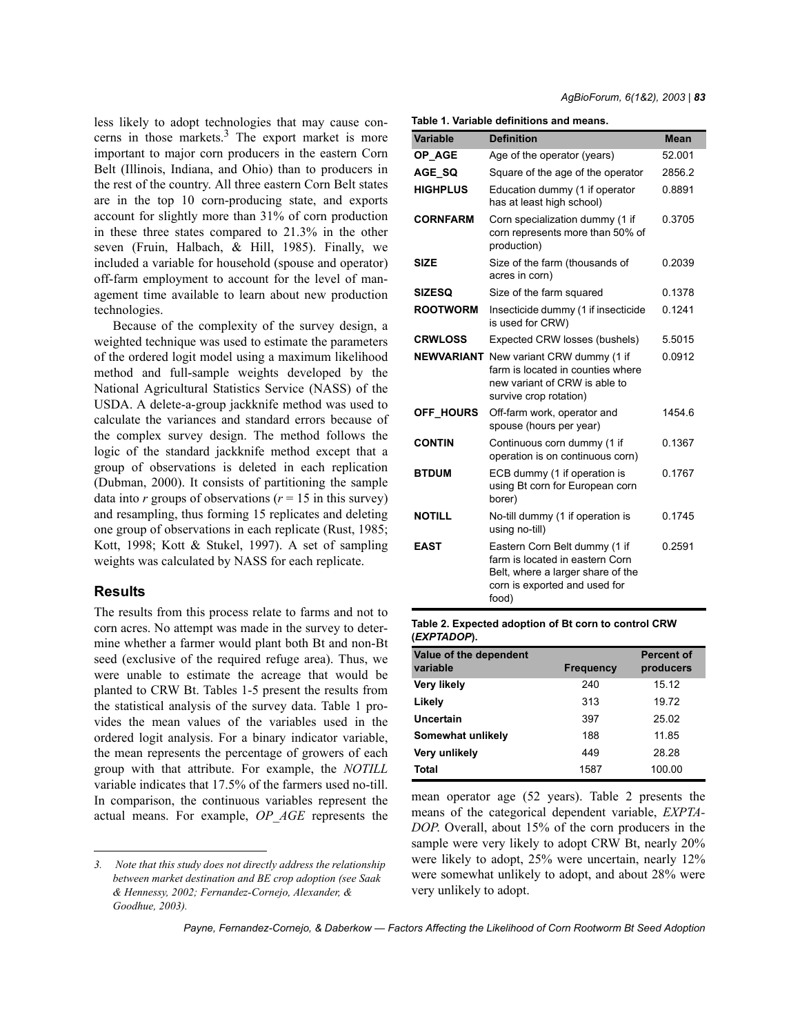less likely to adopt technologies that may cause concerns in those markets.3 The export market is more important to major corn producers in the eastern Corn Belt (Illinois, Indiana, and Ohio) than to producers in the rest of the country. All three eastern Corn Belt states are in the top 10 corn-producing state, and exports account for slightly more than 31% of corn production in these three states compared to 21.3% in the other seven (Fruin, Halbach, & Hill, 1985). Finally, we included a variable for household (spouse and operator) off-farm employment to account for the level of management time available to learn about new production technologies.

Because of the complexity of the survey design, a weighted technique was used to estimate the parameters of the ordered logit model using a maximum likelihood method and full-sample weights developed by the National Agricultural Statistics Service (NASS) of the USDA. A delete-a-group jackknife method was used to calculate the variances and standard errors because of the complex survey design. The method follows the logic of the standard jackknife method except that a group of observations is deleted in each replication (Dubman, 2000). It consists of partitioning the sample data into  $r$  groups of observations ( $r = 15$  in this survey) and resampling, thus forming 15 replicates and deleting one group of observations in each replicate (Rust, 1985; Kott, 1998; Kott & Stukel, 1997). A set of sampling weights was calculated by NASS for each replicate.

### **Results**

The results from this process relate to farms and not to corn acres. No attempt was made in the survey to determine whether a farmer would plant both Bt and non-Bt seed (exclusive of the required refuge area). Thus, we were unable to estimate the acreage that would be planted to CRW Bt. Tables 1-5 present the results from the statistical analysis of the survey data. Table 1 provides the mean values of the variables used in the ordered logit analysis. For a binary indicator variable, the mean represents the percentage of growers of each group with that attribute. For example, the *NOTILL* variable indicates that 17.5% of the farmers used no-till. In comparison, the continuous variables represent the actual means. For example, *OP\_AGE* represents the

#### **Table 1. Variable definitions and means.**

| <b>Variable</b>  | <b>Definition</b>                                                                                                                               | <b>Mean</b> |
|------------------|-------------------------------------------------------------------------------------------------------------------------------------------------|-------------|
| OP AGE           | Age of the operator (years)                                                                                                                     | 52.001      |
| AGE SQ           | Square of the age of the operator                                                                                                               | 2856.2      |
| <b>HIGHPLUS</b>  | Education dummy (1 if operator<br>has at least high school)                                                                                     | 0.8891      |
| <b>CORNFARM</b>  | Corn specialization dummy (1 if<br>corn represents more than 50% of<br>production)                                                              | 0.3705      |
| SIZE             | Size of the farm (thousands of<br>acres in corn)                                                                                                | 0.2039      |
| <b>SIZESO</b>    | Size of the farm squared                                                                                                                        | 0.1378      |
| <b>ROOTWORM</b>  | Insecticide dummy (1 if insecticide<br>is used for CRW)                                                                                         | 0.1241      |
| <b>CRWLOSS</b>   | Expected CRW losses (bushels)                                                                                                                   | 5.5015      |
|                  | <b>NEWVARIANT</b> New variant CRW dummy (1 if<br>farm is located in counties where<br>new variant of CRW is able to<br>survive crop rotation)   | 0.0912      |
| <b>OFF HOURS</b> | Off-farm work, operator and<br>spouse (hours per year)                                                                                          | 1454.6      |
| <b>CONTIN</b>    | Continuous corn dummy (1 if<br>operation is on continuous corn)                                                                                 | 0.1367      |
| <b>BTDUM</b>     | ECB dummy (1 if operation is<br>using Bt corn for European corn<br>borer)                                                                       | 0.1767      |
| <b>NOTILL</b>    | No-till dummy (1 if operation is<br>using no-till)                                                                                              | 0.1745      |
| <b>EAST</b>      | Eastern Corn Belt dummy (1 if<br>farm is located in eastern Corn<br>Belt, where a larger share of the<br>corn is exported and used for<br>food) | 0.2591      |

#### **Table 2. Expected adoption of Bt corn to control CRW (***EXPTADOP***).**

| Value of the dependent<br>variable | <b>Frequency</b> | <b>Percent of</b><br>producers |
|------------------------------------|------------------|--------------------------------|
|                                    |                  |                                |
| Very likely                        | 240              | 15.12                          |
| Likely                             | 313              | 19.72                          |
| Uncertain                          | 397              | 25.02                          |
| Somewhat unlikely                  | 188              | 11.85                          |
| Very unlikely                      | 449              | 28.28                          |
| Total                              | 1587             | 100.00                         |

mean operator age (52 years). Table 2 presents the means of the categorical dependent variable, *EXPTA-DOP*. Overall, about 15% of the corn producers in the sample were very likely to adopt CRW Bt, nearly 20% were likely to adopt, 25% were uncertain, nearly 12% were somewhat unlikely to adopt, and about 28% were very unlikely to adopt.

*<sup>3.</sup> Note that this study does not directly address the relationship between market destination and BE crop adoption (see Saak & Hennessy, 2002; Fernandez-Cornejo, Alexander, & Goodhue, 2003).*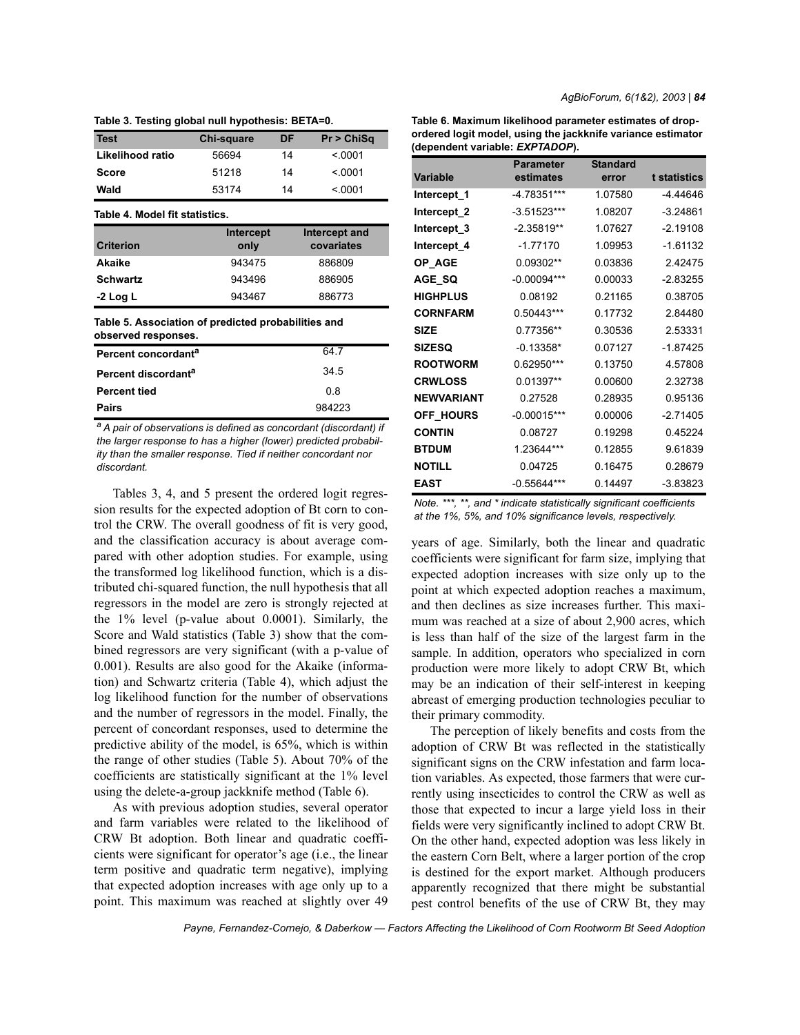| <b>Test</b>                                                                | Chi-square | DF     | Pr > ChiSq    |  |  |  |  |  |
|----------------------------------------------------------------------------|------------|--------|---------------|--|--|--|--|--|
| Likelihood ratio                                                           | 56694      | 14     | < 0001        |  |  |  |  |  |
| <b>Score</b>                                                               | 51218      | 14     | < 0001        |  |  |  |  |  |
| Wald                                                                       | 53174      | 14     | < 0001        |  |  |  |  |  |
| Table 4. Model fit statistics.                                             |            |        |               |  |  |  |  |  |
|                                                                            | Intercept  |        | Intercept and |  |  |  |  |  |
| <b>Criterion</b>                                                           | only       |        | covariates    |  |  |  |  |  |
| Akaike                                                                     | 943475     |        | 886809        |  |  |  |  |  |
| <b>Schwartz</b>                                                            | 943496     |        | 886905        |  |  |  |  |  |
| -2 Log L                                                                   | 943467     | 886773 |               |  |  |  |  |  |
| Table 5. Association of predicted probabilities and<br>observed responses. |            |        |               |  |  |  |  |  |
| Percent concordant <sup>a</sup>                                            |            |        | 64.7          |  |  |  |  |  |
| Percent discordant <sup>a</sup>                                            | 34.5       |        |               |  |  |  |  |  |
| <b>Percent tied</b>                                                        | 0.8        |        |               |  |  |  |  |  |
| Pairs                                                                      | 984223     |        |               |  |  |  |  |  |

**Table 3. Testing global null hypothesis: BETA=0.**

*a A pair of observations is defined as concordant (discordant) if the larger response to has a higher (lower) predicted probability than the smaller response. Tied if neither concordant nor discordant.*

Tables 3, 4, and 5 present the ordered logit regression results for the expected adoption of Bt corn to control the CRW. The overall goodness of fit is very good, and the classification accuracy is about average compared with other adoption studies. For example, using the transformed log likelihood function, which is a distributed chi-squared function, the null hypothesis that all regressors in the model are zero is strongly rejected at the 1% level (p-value about 0.0001). Similarly, the Score and Wald statistics (Table 3) show that the combined regressors are very significant (with a p-value of 0.001). Results are also good for the Akaike (information) and Schwartz criteria (Table 4), which adjust the log likelihood function for the number of observations and the number of regressors in the model. Finally, the percent of concordant responses, used to determine the predictive ability of the model, is 65%, which is within the range of other studies (Table 5). About 70% of the coefficients are statistically significant at the 1% level using the delete-a-group jackknife method (Table 6).

As with previous adoption studies, several operator and farm variables were related to the likelihood of CRW Bt adoption. Both linear and quadratic coefficients were significant for operator's age (i.e., the linear term positive and quadratic term negative), implying that expected adoption increases with age only up to a point. This maximum was reached at slightly over 49

**Table 6. Maximum likelihood parameter estimates of dropordered logit model, using the jackknife variance estimator (dependent variable:** *EXPTADOP***).**

|                        | <b>Parameter</b> | <b>Standard</b> |              |
|------------------------|------------------|-----------------|--------------|
| <b>Variable</b>        | estimates        | error           | t statistics |
| Intercept_1            | -4.78351***      | 1.07580         | -4.44646     |
| Intercept <sub>2</sub> | $-3.51523***$    | 1.08207         | $-3.24861$   |
| Intercept_3            | $-2.35819**$     | 1.07627         | $-2.19108$   |
| Intercept_4            | $-1.77170$       | 1.09953         | $-1.61132$   |
| OP AGE                 | 0.09302**        | 0.03836         | 242475       |
| AGE SQ                 | $-0.00094***$    | 0.00033         | $-2.83255$   |
| <b>HIGHPLUS</b>        | 0.08192          | 0.21165         | 0.38705      |
| <b>CORNFARM</b>        | 0.50443***       | 0.17732         | 2.84480      |
| <b>SIZE</b>            | 0.77356**        | 0.30536         | 2.53331      |
| <b>SIZESQ</b>          | $-0.13358*$      | 0.07127         | $-1.87425$   |
| <b>ROOTWORM</b>        | 0.62950***       | 0.13750         | 4.57808      |
| <b>CRWLOSS</b>         | 0.01397**        | 0.00600         | 2.32738      |
| <b>NEWVARIANT</b>      | 0.27528          | 0.28935         | 0.95136      |
| <b>OFF HOURS</b>       | $-0.00015***$    | 0.00006         | $-2.71405$   |
| <b>CONTIN</b>          | 0.08727          | 0.19298         | 0.45224      |
| <b>BTDUM</b>           | 1.23644***       | 0.12855         | 9.61839      |
| <b>NOTILL</b>          | 0.04725          | 0.16475         | 0.28679      |
| <b>EAST</b>            | $-0.55644***$    | 0.14497         | $-3.83823$   |

*Note. \*\*\*, \*\*, and \* indicate statistically significant coefficients at the 1%, 5%, and 10% significance levels, respectively.*

years of age. Similarly, both the linear and quadratic coefficients were significant for farm size, implying that expected adoption increases with size only up to the point at which expected adoption reaches a maximum, and then declines as size increases further. This maximum was reached at a size of about 2,900 acres, which is less than half of the size of the largest farm in the sample. In addition, operators who specialized in corn production were more likely to adopt CRW Bt, which may be an indication of their self-interest in keeping abreast of emerging production technologies peculiar to their primary commodity.

The perception of likely benefits and costs from the adoption of CRW Bt was reflected in the statistically significant signs on the CRW infestation and farm location variables. As expected, those farmers that were currently using insecticides to control the CRW as well as those that expected to incur a large yield loss in their fields were very significantly inclined to adopt CRW Bt. On the other hand, expected adoption was less likely in the eastern Corn Belt, where a larger portion of the crop is destined for the export market. Although producers apparently recognized that there might be substantial pest control benefits of the use of CRW Bt, they may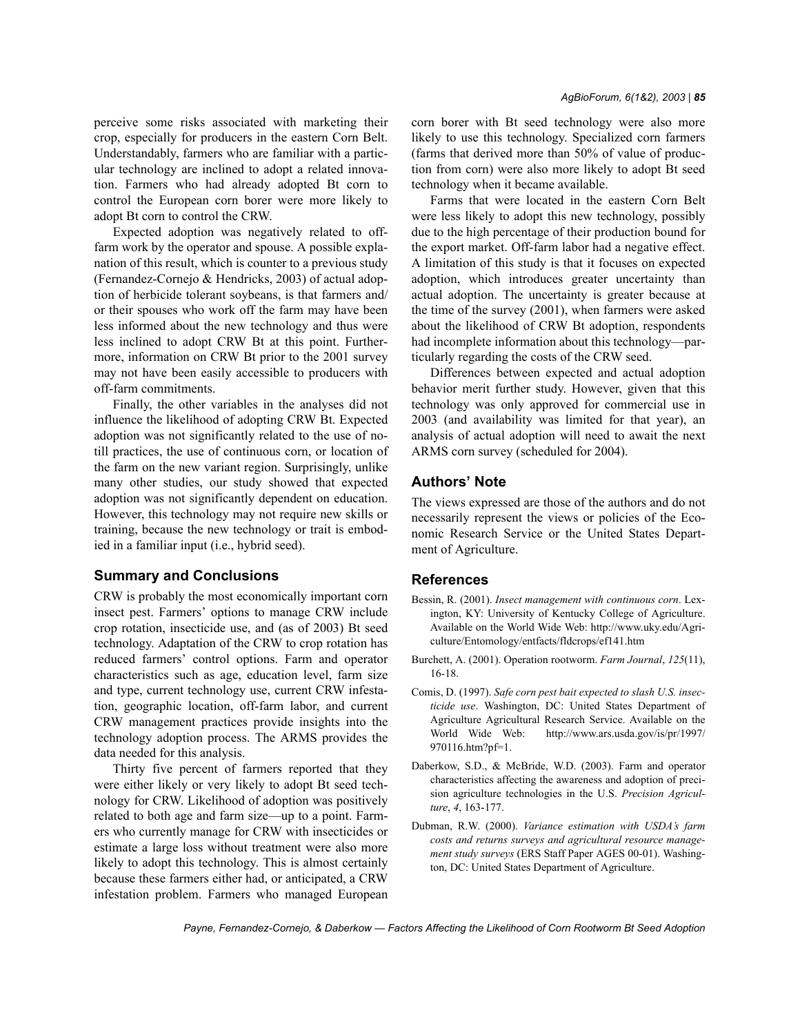perceive some risks associated with marketing their crop, especially for producers in the eastern Corn Belt. Understandably, farmers who are familiar with a particular technology are inclined to adopt a related innovation. Farmers who had already adopted Bt corn to control the European corn borer were more likely to adopt Bt corn to control the CRW.

Expected adoption was negatively related to offfarm work by the operator and spouse. A possible explanation of this result, which is counter to a previous study (Fernandez-Cornejo & Hendricks, 2003) of actual adoption of herbicide tolerant soybeans, is that farmers and/ or their spouses who work off the farm may have been less informed about the new technology and thus were less inclined to adopt CRW Bt at this point. Furthermore, information on CRW Bt prior to the 2001 survey may not have been easily accessible to producers with off-farm commitments.

Finally, the other variables in the analyses did not influence the likelihood of adopting CRW Bt. Expected adoption was not significantly related to the use of notill practices, the use of continuous corn, or location of the farm on the new variant region. Surprisingly, unlike many other studies, our study showed that expected adoption was not significantly dependent on education. However, this technology may not require new skills or training, because the new technology or trait is embodied in a familiar input (i.e., hybrid seed).

# **Summary and Conclusions**

CRW is probably the most economically important corn insect pest. Farmers' options to manage CRW include crop rotation, insecticide use, and (as of 2003) Bt seed technology. Adaptation of the CRW to crop rotation has reduced farmers' control options. Farm and operator characteristics such as age, education level, farm size and type, current technology use, current CRW infestation, geographic location, off-farm labor, and current CRW management practices provide insights into the technology adoption process. The ARMS provides the data needed for this analysis.

Thirty five percent of farmers reported that they were either likely or very likely to adopt Bt seed technology for CRW. Likelihood of adoption was positively related to both age and farm size—up to a point. Farmers who currently manage for CRW with insecticides or estimate a large loss without treatment were also more likely to adopt this technology. This is almost certainly because these farmers either had, or anticipated, a CRW infestation problem. Farmers who managed European corn borer with Bt seed technology were also more likely to use this technology. Specialized corn farmers (farms that derived more than 50% of value of production from corn) were also more likely to adopt Bt seed technology when it became available.

Farms that were located in the eastern Corn Belt were less likely to adopt this new technology, possibly due to the high percentage of their production bound for the export market. Off-farm labor had a negative effect. A limitation of this study is that it focuses on expected adoption, which introduces greater uncertainty than actual adoption. The uncertainty is greater because at the time of the survey (2001), when farmers were asked about the likelihood of CRW Bt adoption, respondents had incomplete information about this technology—particularly regarding the costs of the CRW seed.

Differences between expected and actual adoption behavior merit further study. However, given that this technology was only approved for commercial use in 2003 (and availability was limited for that year), an analysis of actual adoption will need to await the next ARMS corn survey (scheduled for 2004).

# **Authors' Note**

The views expressed are those of the authors and do not necessarily represent the views or policies of the Economic Research Service or the United States Department of Agriculture.

# **References**

- Bessin, R. (2001). *Insect management with continuous corn*. Lexington, KY: University of Kentucky College of Agriculture. Available on the World Wide Web: http://www.uky.edu/Agriculture/Entomology/entfacts/fldcrops/ef141.htm
- Burchett, A. (2001). Operation rootworm. *Farm Journal*, *125*(11), 16-18.
- Comis, D. (1997). *Safe corn pest bait expected to slash U.S. insecticide use*. Washington, DC: United States Department of Agriculture Agricultural Research Service. Available on the World Wide Web: http://www.ars.usda.gov/is/pr/1997/ 970116.htm?pf=1.
- Daberkow, S.D., & McBride, W.D. (2003). Farm and operator characteristics affecting the awareness and adoption of precision agriculture technologies in the U.S. *Precision Agriculture*, *4*, 163-177.
- Dubman, R.W. (2000). *Variance estimation with USDAís farm costs and returns surveys and agricultural resource management study surveys* (ERS Staff Paper AGES 00-01). Washington, DC: United States Department of Agriculture.